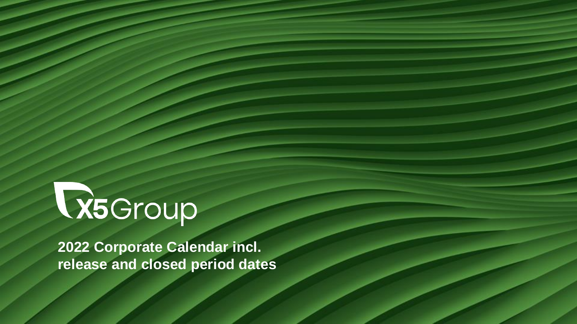## R5Group

**2022 Corporate Calendar incl. release and closed period dates**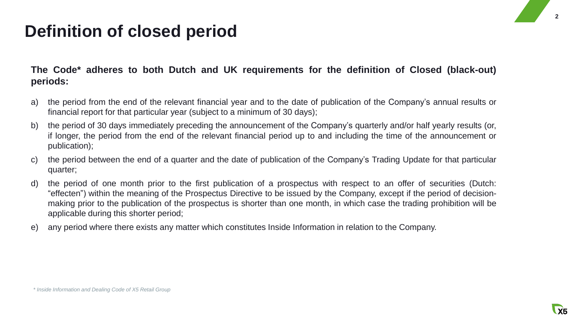## **Definition of closed period**

**The Code\* adheres to both Dutch and UK requirements for the definition of Closed (black-out) periods:**

- a) the period from the end of the relevant financial year and to the date of publication of the Company's annual results or financial report for that particular year (subject to a minimum of 30 days);
- b) the period of 30 days immediately preceding the announcement of the Company's quarterly and/or half yearly results (or, if longer, the period from the end of the relevant financial period up to and including the time of the announcement or publication);
- c) the period between the end of a quarter and the date of publication of the Company's Trading Update for that particular quarter;
- d) the period of one month prior to the first publication of a prospectus with respect to an offer of securities (Dutch: "effecten") within the meaning of the Prospectus Directive to be issued by the Company, except if the period of decisionmaking prior to the publication of the prospectus is shorter than one month, in which case the trading prohibition will be applicable during this shorter period;
- e) any period where there exists any matter which constitutes Inside Information in relation to the Company.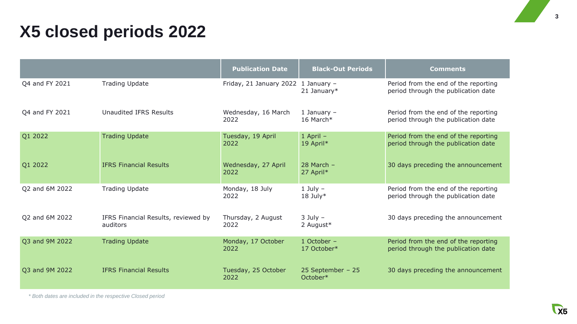## **X5 closed periods 2022**

|                |                                                 | <b>Publication Date</b>     | <b>Black-Out Periods</b>      | <b>Comments</b>                                                             |
|----------------|-------------------------------------------------|-----------------------------|-------------------------------|-----------------------------------------------------------------------------|
| Q4 and FY 2021 | <b>Trading Update</b>                           | Friday, 21 January 2022     | 1 January -<br>21 January $*$ | Period from the end of the reporting<br>period through the publication date |
| Q4 and FY 2021 | <b>Unaudited IFRS Results</b>                   | Wednesday, 16 March<br>2022 | 1 January $-$<br>16 March*    | Period from the end of the reporting<br>period through the publication date |
| Q1 2022        | <b>Trading Update</b>                           | Tuesday, 19 April<br>2022   | $1$ April $-$<br>19 April*    | Period from the end of the reporting<br>period through the publication date |
| Q1 2022        | <b>IFRS Financial Results</b>                   | Wednesday, 27 April<br>2022 | $28$ March $-$<br>27 April*   | 30 days preceding the announcement                                          |
| Q2 and 6M 2022 | <b>Trading Update</b>                           | Monday, 18 July<br>2022     | $1$ July $-$<br>$18$ July*    | Period from the end of the reporting<br>period through the publication date |
| Q2 and 6M 2022 | IFRS Financial Results, reviewed by<br>auditors | Thursday, 2 August<br>2022  | $3$ July $-$<br>2 August*     | 30 days preceding the announcement                                          |
| Q3 and 9M 2022 | <b>Trading Update</b>                           | Monday, 17 October<br>2022  | 1 October -<br>17 October*    | Period from the end of the reporting<br>period through the publication date |
| Q3 and 9M 2022 | <b>IFRS Financial Results</b>                   | Tuesday, 25 October<br>2022 | 25 September - 25<br>October* | 30 days preceding the announcement                                          |

*\* Both dates are included in the respective Closed period*